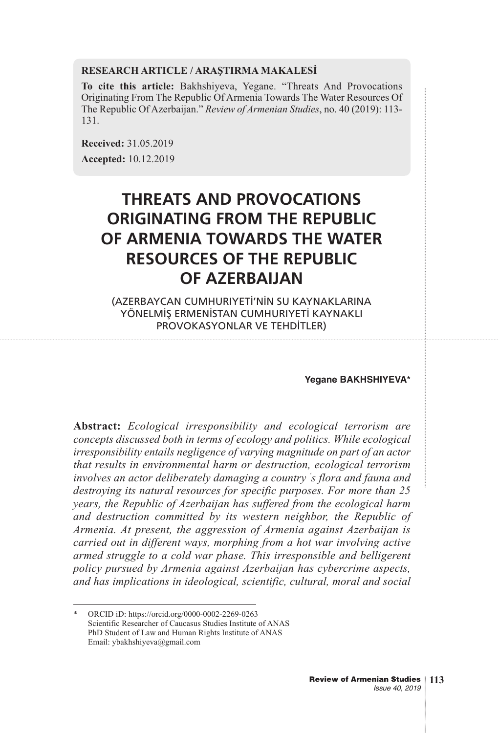#### **RESEARCH ARTICLE / ARAŞTIRMA MAKALESİ**

**To cite this article:** Bakhshiyeva, Yegane. "Threats And Provocations Originating From The Republic Of Armenia Towards The Water Resources Of The Republic Of Azerbaijan." *Review of Armenian Studies*, no. 40 (2019): 113- 131.

**Received:** 31.05.2019 **Accepted:** 10.12.2019

# **THREATS AND PROVOCATIONS ORIGINATING FROM THE REPUBLIC OF ARMENIA TOWARDS THE WATER RESOURCES OF THE REPUBLIC OF AZERBAIJAN**

(AZERBAYCAN CUMHURIYETİ'NİN SU KAYNAKLARINA YÖNELMİŞ ERMENİSTAN CUMHURIYETİ KAYNAKLI PROVOKASYONLAR VE TEHDİTLER)

#### **Yegane BAKHSHIYEVA\***

**Abstract:** *Ecological irresponsibility and ecological terrorism are concepts discussed both in terms of ecology and politics. While ecological irresponsibility entails negligence of varying magnitude on part of an actor that results in environmental harm or destruction, ecological terrorism involves an actor deliberately damaging a country ' s flora and fauna and destroying its natural resources for specific purposes. For more than 25 years, the Republic of Azerbaijan has suffered from the ecological harm and destruction committed by its western neighbor, the Republic of Armenia. At present, the aggression of Armenia against Azerbaijan is carried out in different ways, morphing from a hot war involving active armed struggle to a cold war phase. This irresponsible and belligerent policy pursued by Armenia against Azerbaijan has cybercrime aspects, and has implications in ideological, scientific, cultural, moral and social*

<sup>\*</sup> ORCID iD: https://orcid.org/0000-0002-2269-0263 Scientific Researcher of Caucasus Studies Institute of ANAS PhD Student of Law and Human Rights Institute of ANAS Email: ybakhshiyeva@gmail.com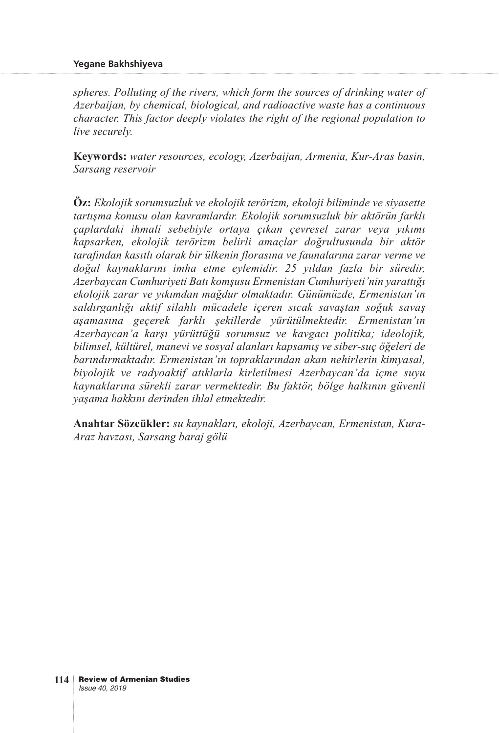*spheres. Polluting of the rivers, which form the sources of drinking water of Azerbaijan, by chemical, biological, and radioactive waste has a continuous character. This factor deeply violates the right of the regional population to live securely.*

**Keywords:** *water resources, ecology, Azerbaijan, Armenia, Kur-Aras basin, Sarsang reservoir*

**Öz:** *Ekolojik sorumsuzluk ve ekolojik terörizm, ekoloji biliminde ve siyasette tartışma konusu olan kavramlardır. Ekolojik sorumsuzluk bir aktörün farklı çaplardaki ihmali sebebiyle ortaya çıkan çevresel zarar veya yıkımı kapsarken, ekolojik terörizm belirli amaçlar doğrultusunda bir aktör tarafından kasıtlı olarak bir ülkenin florasına ve faunalarına zarar verme ve doğal kaynaklarını imha etme eylemidir. 25 yıldan fazla bir süredir, Azerbaycan Cumhuriyeti Batı komşusu Ermenistan Cumhuriyeti'nin yarattığı ekolojik zarar ve yıkımdan mağdur olmaktadır. Günümüzde, Ermenistan'ın saldırganlığı aktif silahlı mücadele içeren sıcak savaştan soğuk savaş aşamasına geçerek farklı şekillerde yürütülmektedir. Ermenistan'ın Azerbaycan'a karşı yürüttüğü sorumsuz ve kavgacı politika; ideolojik, bilimsel, kültürel, manevi ve sosyal alanları kapsamış ve siber-suç öğeleri de barındırmaktadır. Ermenistan'ın topraklarından akan nehirlerin kimyasal, biyolojik ve radyoaktif atıklarla kirletilmesi Azerbaycan'da içme suyu kaynaklarına sürekli zarar vermektedir. Bu faktör, bölge halkının güvenli yaşama hakkını derinden ihlal etmektedir.*

**Anahtar Sözcükler:** *su kaynakları, ekoloji, Azerbaycan, Ermenistan, Kura-Araz havzası, Sarsang baraj gölü*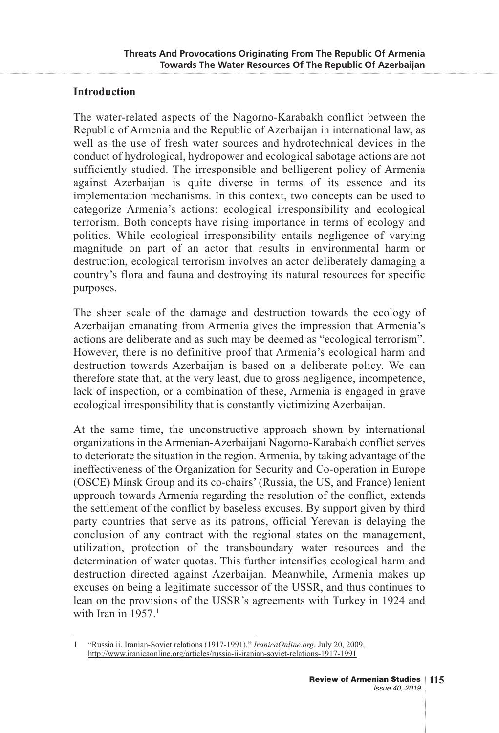### **Introduction**

The water-related aspects of the Nagorno-Karabakh conflict between the Republic of Armenia and the Republic of Azerbaijan in international law, as well as the use of fresh water sources and hydrotechnical devices in the conduct of hydrological, hydropower and ecological sabotage actions are not sufficiently studied. The irresponsible and belligerent policy of Armenia against Azerbaijan is quite diverse in terms of its essence and its implementation mechanisms. In this context, two concepts can be used to categorize Armenia's actions: ecological irresponsibility and ecological terrorism. Both concepts have rising importance in terms of ecology and politics. While ecological irresponsibility entails negligence of varying magnitude on part of an actor that results in environmental harm or destruction, ecological terrorism involves an actor deliberately damaging a country's flora and fauna and destroying its natural resources for specific purposes.

The sheer scale of the damage and destruction towards the ecology of Azerbaijan emanating from Armenia gives the impression that Armenia's actions are deliberate and as such may be deemed as "ecological terrorism". However, there is no definitive proof that Armenia's ecological harm and destruction towards Azerbaijan is based on a deliberate policy. We can therefore state that, at the very least, due to gross negligence, incompetence, lack of inspection, or a combination of these, Armenia is engaged in grave ecological irresponsibility that is constantly victimizing Azerbaijan.

At the same time, the unconstructive approach shown by international organizations in the Armenian-Azerbaijani Nagorno-Karabakh conflict serves to deteriorate the situation in the region. Armenia, by taking advantage of the ineffectiveness of the Organization for Security and Co-operation in Europe (OSCE) Minsk Group and its co-chairs' (Russia, the US, and France) lenient approach towards Armenia regarding the resolution of the conflict, extends the settlement of the conflict by baseless excuses. By support given by third party countries that serve as its patrons, official Yerevan is delaying the conclusion of any contract with the regional states on the management, utilization, protection of the transboundary water resources and the determination of water quotas. This further intensifies ecological harm and destruction directed against Azerbaijan. Meanwhile, Armenia makes up excuses on being a legitimate successor of the USSR, and thus continues to lean on the provisions of the USSR's agreements with Turkey in 1924 and with Iran in  $1957.<sup>1</sup>$ 

<sup>1 &</sup>quot;Russia ii. Iranian-Soviet relations (1917-1991)," *IranicaOnline.org*, July 20, 2009, http://www.iranicaonline.org/articles/russia-ii-iranian-soviet-relations-1917-1991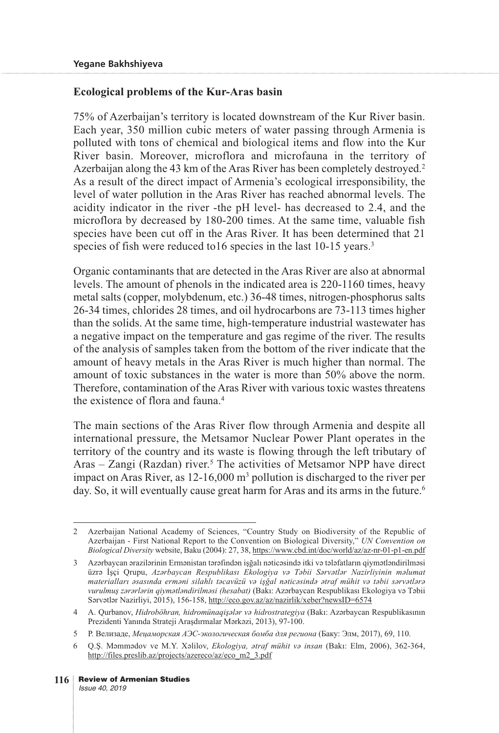## **Ecological problems of the Kur-Aras basin**

75% of Azerbaijan's territory is located downstream of the Kur River basin. Each year, 350 million cubic meters of water passing through Armenia is polluted with tons of chemical and biological items and flow into the Kur River basin. Moreover, microflora and microfauna in the territory of Azerbaijan along the 43 km of the Aras River has been completely destroyed.<sup>2</sup> As a result of the direct impact of Armenia's ecological irresponsibility, the level of water pollution in the Aras River has reached abnormal levels. The acidity indicator in the river -the pH level- has decreased to 2.4, and the microflora by decreased by 180-200 times. At the same time, valuable fish species have been cut off in the Aras River. It has been determined that 21 species of fish were reduced to 16 species in the last 10-15 years.<sup>3</sup>

Organic contaminants that are detected in the Aras River are also at abnormal levels. The amount of phenols in the indicated area is 220-1160 times, heavy metal salts (copper, molybdenum, etc.) 36-48 times, nitrogen-phosphorus salts 26-34 times, chlorides 28 times, and oil hydrocarbons are 73-113 times higher than the solids. At the same time, high-temperature industrial wastewater has a negative impact on the temperature and gas regime of the river. The results of the analysis of samples taken from the bottom of the river indicate that the amount of heavy metals in the Aras River is much higher than normal. The amount of toxic substances in the water is more than 50% above the norm. Therefore, contamination of the Aras River with various toxic wastes threatens the existence of flora and fauna.4

The main sections of the Aras River flow through Armenia and despite all international pressure, the Metsamor Nuclear Power Plant operates in the territory of the country and its waste is flowing through the left tributary of Aras – Zangi (Razdan) river.<sup>5</sup> The activities of Metsamor NPP have direct impact on Aras River, as 12-16,000 m<sup>3</sup> pollution is discharged to the river per day. So, it will eventually cause great harm for Aras and its arms in the future.<sup>6</sup>

<sup>2</sup> Azerbaijan National Academy of Sciences, "Country Study on Biodiversity of the Republic of Azerbaijan - First National Report to the Convention on Biological Diversity," *UN Convention on Biological Diversity* website, Baku (2004): 27, 38, https://www.cbd.int/doc/world/az/az-nr-01-p1-en.pdf

<sup>3</sup> Azərbaycan ərazilərinin Ermənistan tərəfindən işğalı nəticəsində itki və tələfatların qiymətləndirilməsi üzrə İşçi Qrupu, *Azərbaycan Respublikası Ekologiya və Təbii Sərvətlər Nazirliyinin məlumat materialları əsasında erməni silahlı təcavüzü və işğal nəticəsində ətraf mühit və təbii sərvətlərə vurulmuş zərərlərin qiymətləndirilməsi (hesabat)* (Bakı: Azərbaycan Respublikası Ekologiya və Təbii Sərvətlər Nazirliyi, 2015), 156-158, http://eco.gov.az/az/nazirlik/xeber?newsID=6574

<sup>4</sup> A. Qurbanov, *Hidroböhran, hidromünaqişələr və hidrostrategiya* (Bakı: Azərbaycan Respublikasının Prezidenti Yanında Strateji Araşdırmalar Mərkəzi, 2013), 97-100.

<sup>5</sup> Р. Велизаде, *Мецаморская АЭС-экологическая бомба для региона* (Баку: Элм, 2017), 69, 110.

<sup>6</sup> Q.Ş. Məmmədov ve M.Y. Xəlilov, *Ekologiya, ətraf mühit və insan* (Bakı: Elm, 2006), 362-364, http://files.preslib.az/projects/azereco/az/eco\_m2\_3.pdf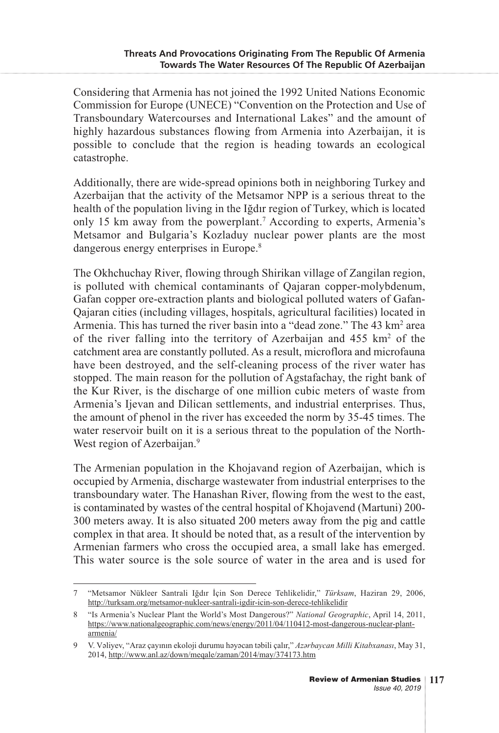Considering that Armenia has not joined the 1992 United Nations Economic Commission for Europe (UNECE) "Convention on the Protection and Use of Transboundary Watercourses and International Lakes" and the amount of highly hazardous substances flowing from Armenia into Azerbaijan, it is possible to conclude that the region is heading towards an ecological catastrophe.

Additionally, there are wide-spread opinions both in neighboring Turkey and Azerbaijan that the activity of the Metsamor NPP is a serious threat to the health of the population living in the Iğdır region of Turkey, which is located only 15 km away from the powerplant.7 According to experts, Armenia's Metsamor and Bulgaria's Kozladuy nuclear power plants are the most dangerous energy enterprises in Europe.<sup>8</sup>

The Okhchuchay River, flowing through Shirikan village of Zangilan region, is polluted with chemical contaminants of Qajaran copper-molybdenum, Gafan copper ore-extraction plants and biological polluted waters of Gafan-Qajaran cities (including villages, hospitals, agricultural facilities) located in Armenia. This has turned the river basin into a "dead zone." The 43 km<sup>2</sup> area of the river falling into the territory of Azerbaijan and 455 km2 of the catchment area are constantly polluted. As a result, microflora and microfauna have been destroyed, and the self-cleaning process of the river water has stopped. The main reason for the pollution of Agstafachay, the right bank of the Kur River, is the discharge of one million cubic meters of waste from Armenia's Ijevan and Dilican settlements, and industrial enterprises. Thus, the amount of phenol in the river has exceeded the norm by 35-45 times. The water reservoir built on it is a serious threat to the population of the North-West region of Azerbaijan.<sup>9</sup>

The Armenian population in the Khojavand region of Azerbaijan, which is occupied by Armenia, discharge wastewater from industrial enterprises to the transboundary water. The Hanashan River, flowing from the west to the east, is contaminated by wastes of the central hospital of Khojavend (Martuni) 200- 300 meters away. It is also situated 200 meters away from the pig and cattle complex in that area. It should be noted that, as a result of the intervention by Armenian farmers who cross the occupied area, a small lake has emerged. This water source is the sole source of water in the area and is used for

<sup>7 &</sup>quot;Metsamor Nükleer Santrali Iğdır İçin Son Derece Tehlikelidir," *Türksam*, Haziran 29, 2006, http://turksam.org/metsamor-nukleer-santrali-igdir-icin-son-derece-tehlikelidir

<sup>8 &</sup>quot;Is Armenia's Nuclear Plant the World's Most Dangerous?" *National Geographic*, April 14, 2011, https://www.nationalgeographic.com/news/energy/2011/04/110412-most-dangerous-nuclear-plantarmenia/

<sup>9</sup> V. Vəliyev, "Araz çayının ekoloji durumu həyəcan təbili çalır," *Azərbaycan Milli Kitabxanası*, May 31, 2014, http://www.anl.az/down/meqale/zaman/2014/may/374173.htm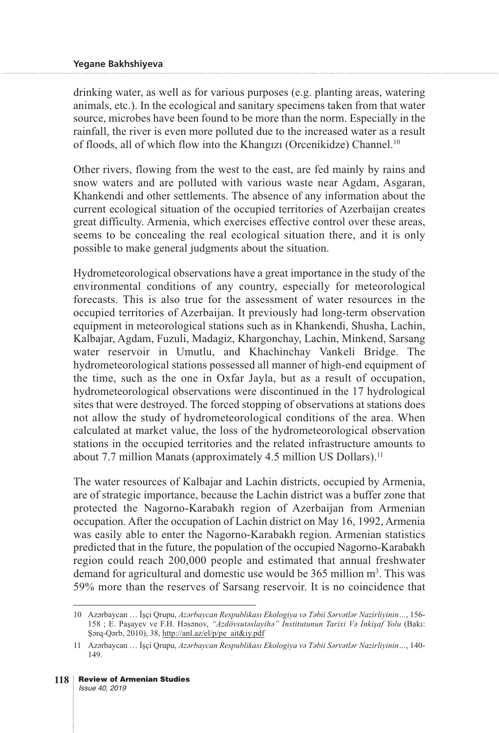drinking water, as well as for various purposes (e.g. planting areas, watering animals, etc.). In the ecological and sanitary specimens taken from that water source, microbes have been found to be more than the norm. Especially in the rainfall, the river is even more polluted due to the increased water as a result of floods, all of which flow into the Khangızı (Orcenikidze) Channel.10

Other rivers, flowing from the west to the east, are fed mainly by rains and snow waters and are polluted with various waste near Agdam, Asgaran, Khankendi and other settlements. The absence of any information about the current ecological situation of the occupied territories of Azerbaijan creates great difficulty. Armenia, which exercises effective control over these areas, seems to be concealing the real ecological situation there, and it is only possible to make general judgments about the situation.

Hydrometeorological observations have a great importance in the study of the environmental conditions of any country, especially for meteorological forecasts. This is also true for the assessment of water resources in the occupied territories of Azerbaijan. It previously had long-term observation equipment in meteorological stations such as in Khankendi, Shusha, Lachin, Kalbajar, Agdam, Fuzuli, Madagiz, Khargonchay, Lachin, Minkend, Sarsang water reservoir in Umutlu, and Khachinchay Vankeli Bridge. The hydrometeorological stations possessed all manner of high-end equipment of the time, such as the one in Oxfar Jayla, but as a result of occupation, hydrometeorological observations were discontinued in the 17 hydrological sites that were destroyed. The forced stopping of observations at stations does not allow the study of hydrometeorological conditions of the area. When calculated at market value, the loss of the hydrometeorological observation stations in the occupied territories and the related infrastructure amounts to about 7.7 million Manats (approximately 4.5 million US Dollars).<sup>11</sup>

The water resources of Kalbajar and Lachin districts, occupied by Armenia, are of strategic importance, because the Lachin district was a buffer zone that protected the Nagorno-Karabakh region of Azerbaijan from Armenian occupation. After the occupation of Lachin district on May 16, 1992, Armenia was easily able to enter the Nagorno-Karabakh region. Armenian statistics predicted that in the future, the population of the occupied Nagorno-Karabakh region could reach 200,000 people and estimated that annual freshwater demand for agricultural and domestic use would be 365 million m<sup>3</sup>. This was 59% more than the reserves of Sarsang reservoir. It is no coincidence that

<sup>10</sup> Azərbaycan … İşçi Qrupu, *Azərbaycan Respublikası Ekologiya və Təbii Sərvətlər Nazirliyinin…*, 156- 158 ; E. Paşayev ve F.H. Həsənov, *"Azdövsutəslayihə" İnstitutunun Tarixi Və İnkişaf Yolu* (Bakı: Şərq-Qərb, 2010), 38, http://anl.az/el/p/pe\_ait&iy.pdf

<sup>11</sup> Azərbaycan … İşçi Qrupu, *Azərbaycan Respublikası Ekologiya və Təbii Sərvətlər Nazirliyinin…*, 140- 149.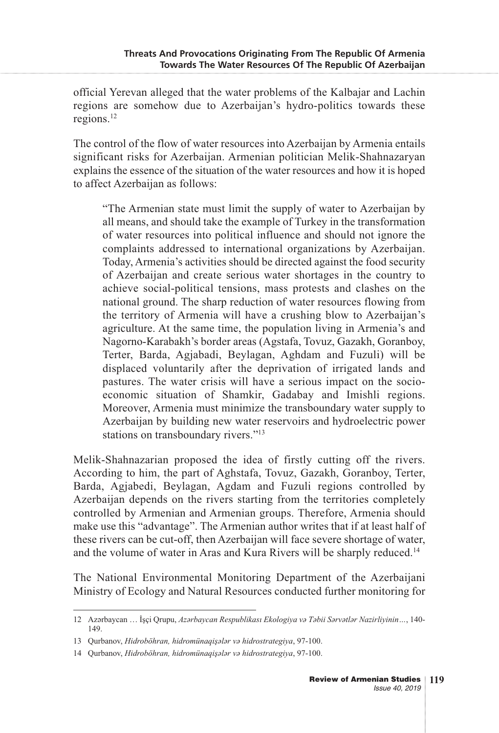official Yerevan alleged that the water problems of the Kalbajar and Lachin regions are somehow due to Azerbaijan's hydro-politics towards these regions.12

The control of the flow of water resources into Azerbaijan by Armenia entails significant risks for Azerbaijan. Armenian politician Melik-Shahnazaryan explains the essence of the situation of the water resources and how it is hoped to affect Azerbaijan as follows:

"The Armenian state must limit the supply of water to Azerbaijan by all means, and should take the example of Turkey in the transformation of water resources into political influence and should not ignore the complaints addressed to international organizations by Azerbaijan. Today, Armenia's activities should be directed against the food security of Azerbaijan and create serious water shortages in the country to achieve social-political tensions, mass protests and clashes on the national ground. The sharp reduction of water resources flowing from the territory of Armenia will have a crushing blow to Azerbaijan's agriculture. At the same time, the population living in Armenia's and Nagorno-Karabakh's border areas (Agstafa, Tovuz, Gazakh, Goranboy, Terter, Barda, Agjabadi, Beylagan, Aghdam and Fuzuli) will be displaced voluntarily after the deprivation of irrigated lands and pastures. The water crisis will have a serious impact on the socioeconomic situation of Shamkir, Gadabay and Imishli regions. Moreover, Armenia must minimize the transboundary water supply to Azerbaijan by building new water reservoirs and hydroelectric power stations on transboundary rivers."<sup>13</sup>

Melik-Shahnazarian proposed the idea of firstly cutting off the rivers. According to him, the part of Aghstafa, Tovuz, Gazakh, Goranboy, Terter, Barda, Agjabedi, Beylagan, Agdam and Fuzuli regions controlled by Azerbaijan depends on the rivers starting from the territories completely controlled by Armenian and Armenian groups. Therefore, Armenia should make use this "advantage". The Armenian author writes that if at least half of these rivers can be cut-off, then Azerbaijan will face severe shortage of water, and the volume of water in Aras and Kura Rivers will be sharply reduced.<sup>14</sup>

The National Environmental Monitoring Department of the Azerbaijani Ministry of Ecology and Natural Resources conducted further monitoring for

<sup>12</sup> Azərbaycan … İşçi Qrupu, *Azərbaycan Respublikası Ekologiya və Təbii Sərvətlər Nazirliyinin…*, 140- 149.

<sup>13</sup> Qurbanov, *Hidroböhran, hidromünaqişələr və hidrostrategiya*, 97-100.

<sup>14</sup> Qurbanov, *Hidroböhran, hidromünaqişələr və hidrostrategiya*, 97-100.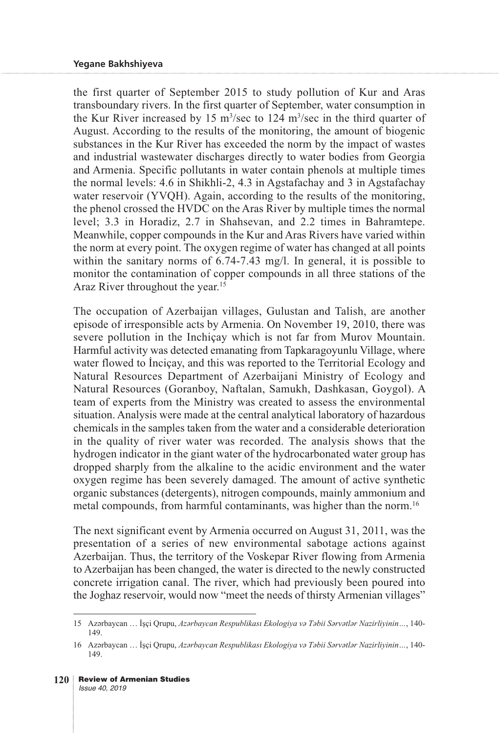the first quarter of September 2015 to study pollution of Kur and Aras transboundary rivers. In the first quarter of September, water consumption in the Kur River increased by 15  $\text{m}^3/\text{sec}$  to 124  $\text{m}^3/\text{sec}$  in the third quarter of August. According to the results of the monitoring, the amount of biogenic substances in the Kur River has exceeded the norm by the impact of wastes and industrial wastewater discharges directly to water bodies from Georgia and Armenia. Specific pollutants in water contain phenols at multiple times the normal levels: 4.6 in Shikhli-2, 4.3 in Agstafachay and 3 in Agstafachay water reservoir (YVQH). Again, according to the results of the monitoring, the phenol crossed the HVDC on the Aras River by multiple times the normal level; 3.3 in Horadiz, 2.7 in Shahsevan, and 2.2 times in Bahramtepe. Meanwhile, copper compounds in the Kur and Aras Rivers have varied within the norm at every point. The oxygen regime of water has changed at all points within the sanitary norms of 6.74-7.43 mg/l. In general, it is possible to monitor the contamination of copper compounds in all three stations of the Araz River throughout the year.<sup>15</sup>

The occupation of Azerbaijan villages, Gulustan and Talish, are another episode of irresponsible acts by Armenia. On November 19, 2010, there was severe pollution in the Inchiçay which is not far from Murov Mountain. Harmful activity was detected emanating from Tapkaragoyunlu Village, where water flowed to Incicay, and this was reported to the Territorial Ecology and Natural Resources Department of Azerbaijani Ministry of Ecology and Natural Resources (Goranboy, Naftalan, Samukh, Dashkasan, Goygol). A team of experts from the Ministry was created to assess the environmental situation. Analysis were made at the central analytical laboratory of hazardous chemicals in the samples taken from the water and a considerable deterioration in the quality of river water was recorded. The analysis shows that the hydrogen indicator in the giant water of the hydrocarbonated water group has dropped sharply from the alkaline to the acidic environment and the water oxygen regime has been severely damaged. The amount of active synthetic organic substances (detergents), nitrogen compounds, mainly ammonium and metal compounds, from harmful contaminants, was higher than the norm.<sup>16</sup>

The next significant event by Armenia occurred on August 31, 2011, was the presentation of a series of new environmental sabotage actions against Azerbaijan. Thus, the territory of the Voskepar River flowing from Armenia to Azerbaijan has been changed, the water is directed to the newly constructed concrete irrigation canal. The river, which had previously been poured into the Joghaz reservoir, would now "meet the needs of thirsty Armenian villages"

<sup>15</sup> Azərbaycan … İşçi Qrupu, *Azərbaycan Respublikası Ekologiya və Təbii Sərvətlər Nazirliyinin…*, 140- 149.

<sup>16</sup> Azərbaycan … İşçi Qrupu, *Azərbaycan Respublikası Ekologiya və Təbii Sərvətlər Nazirliyinin…*, 140- 149.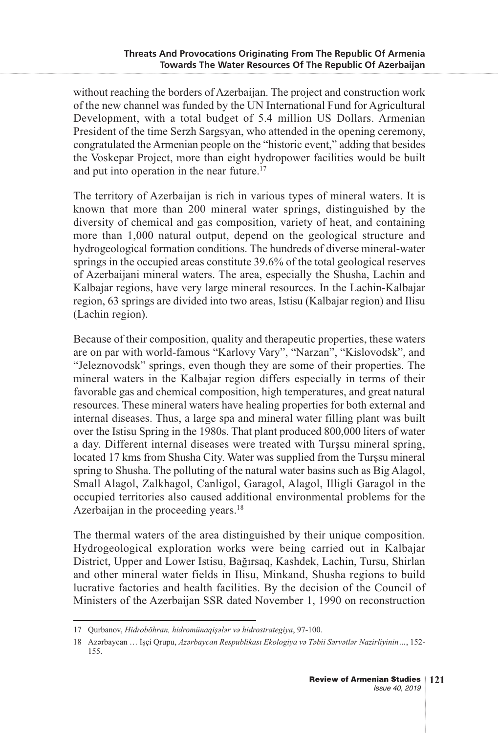without reaching the borders of Azerbaijan. The project and construction work of the new channel was funded by the UN International Fund for Agricultural Development, with a total budget of 5.4 million US Dollars. Armenian President of the time Serzh Sargsyan, who attended in the opening ceremony, congratulated the Armenian people on the "historic event," adding that besides the Voskepar Project, more than eight hydropower facilities would be built and put into operation in the near future.<sup>17</sup>

The territory of Azerbaijan is rich in various types of mineral waters. It is known that more than 200 mineral water springs, distinguished by the diversity of chemical and gas composition, variety of heat, and containing more than 1,000 natural output, depend on the geological structure and hydrogeological formation conditions. The hundreds of diverse mineral-water springs in the occupied areas constitute 39.6% of the total geological reserves of Azerbaijani mineral waters. The area, especially the Shusha, Lachin and Kalbajar regions, have very large mineral resources. In the Lachin-Kalbajar region, 63 springs are divided into two areas, Istisu (Kalbajar region) and Ilisu (Lachin region).

Because of their composition, quality and therapeutic properties, these waters are on par with world-famous "Karlovy Vary", "Narzan", "Kislovodsk", and "Jeleznovodsk" springs, even though they are some of their properties. The mineral waters in the Kalbajar region differs especially in terms of their favorable gas and chemical composition, high temperatures, and great natural resources. These mineral waters have healing properties for both external and internal diseases. Thus, a large spa and mineral water filling plant was built over the Istisu Spring in the 1980s. That plant produced 800,000 liters of water a day. Different internal diseases were treated with Turşsu mineral spring, located 17 kms from Shusha City. Water was supplied from the Turşsu mineral spring to Shusha. The polluting of the natural water basins such as Big Alagol, Small Alagol, Zalkhagol, Canligol, Garagol, Alagol, Illigli Garagol in the occupied territories also caused additional environmental problems for the Azerbaijan in the proceeding years.<sup>18</sup>

The thermal waters of the area distinguished by their unique composition. Hydrogeological exploration works were being carried out in Kalbajar District, Upper and Lower Istisu, Bağırsaq, Kashdek, Lachin, Tursu, Shirlan and other mineral water fields in Ilisu, Minkand, Shusha regions to build lucrative factories and health facilities. By the decision of the Council of Ministers of the Azerbaijan SSR dated November 1, 1990 on reconstruction

<sup>17</sup> Qurbanov, *Hidroböhran, hidromünaqişələr və hidrostrategiya*, 97-100.

<sup>18</sup> Azərbaycan … İşçi Qrupu, *Azərbaycan Respublikası Ekologiya və Təbii Sərvətlər Nazirliyinin…*, 152- 155.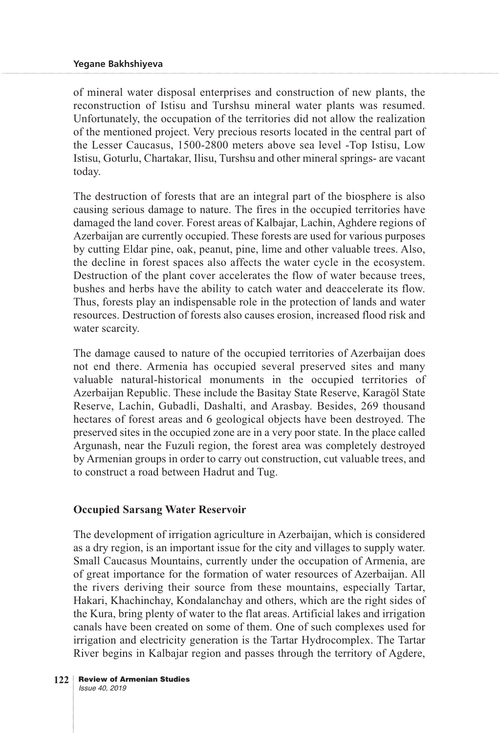of mineral water disposal enterprises and construction of new plants, the reconstruction of Istisu and Turshsu mineral water plants was resumed. Unfortunately, the occupation of the territories did not allow the realization of the mentioned project. Very precious resorts located in the central part of the Lesser Caucasus, 1500-2800 meters above sea level -Top Istisu, Low Istisu, Goturlu, Chartakar, Ilisu, Turshsu and other mineral springs- are vacant today.

The destruction of forests that are an integral part of the biosphere is also causing serious damage to nature. The fires in the occupied territories have damaged the land cover. Forest areas of Kalbajar, Lachin, Aghdere regions of Azerbaijan are currently occupied. These forests are used for various purposes by cutting Eldar pine, oak, peanut, pine, lime and other valuable trees. Also, the decline in forest spaces also affects the water cycle in the ecosystem. Destruction of the plant cover accelerates the flow of water because trees, bushes and herbs have the ability to catch water and deaccelerate its flow. Thus, forests play an indispensable role in the protection of lands and water resources. Destruction of forests also causes erosion, increased flood risk and water scarcity.

The damage caused to nature of the occupied territories of Azerbaijan does not end there. Armenia has occupied several preserved sites and many valuable natural-historical monuments in the occupied territories of Azerbaijan Republic. These include the Basitay State Reserve, Karagöl State Reserve, Lachin, Gubadli, Dashalti, and Arasbay. Besides, 269 thousand hectares of forest areas and 6 geological objects have been destroyed. The preserved sites in the occupied zone are in a very poor state. In the place called Argunash, near the Fuzuli region, the forest area was completely destroyed by Armenian groups in order to carry out construction, cut valuable trees, and to construct a road between Hadrut and Tug.

### **Occupied Sarsang Water Reservoir**

The development of irrigation agriculture in Azerbaijan, which is considered as a dry region, is an important issue for the city and villages to supply water. Small Caucasus Mountains, currently under the occupation of Armenia, are of great importance for the formation of water resources of Azerbaijan. All the rivers deriving their source from these mountains, especially Tartar, Hakari, Khachinchay, Kondalanchay and others, which are the right sides of the Kura, bring plenty of water to the flat areas. Artificial lakes and irrigation canals have been created on some of them. One of such complexes used for irrigation and electricity generation is the Tartar Hydrocomplex. The Tartar River begins in Kalbajar region and passes through the territory of Agdere,

<sup>122</sup> **Review of Armenian Studies** Issue 40, 2019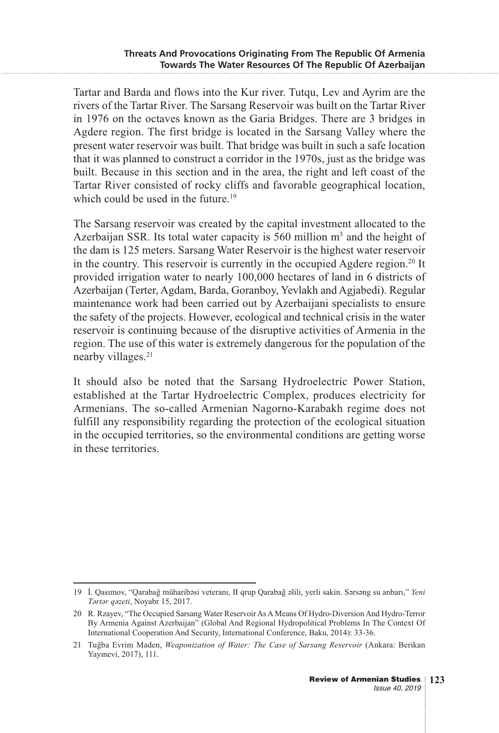Tartar and Barda and flows into the Kur river. Tutqu, Lev and Ayrim are the rivers of the Tartar River. The Sarsang Reservoir was built on the Tartar River in 1976 on the octaves known as the Garia Bridges. There are 3 bridges in Agdere region. The first bridge is located in the Sarsang Valley where the present water reservoir was built. That bridge was built in such a safe location that it was planned to construct a corridor in the 1970s, just as the bridge was built. Because in this section and in the area, the right and left coast of the Tartar River consisted of rocky cliffs and favorable geographical location, which could be used in the future.<sup>19</sup>

The Sarsang reservoir was created by the capital investment allocated to the Azerbaijan SSR. Its total water capacity is 560 million  $m<sup>3</sup>$  and the height of the dam is 125 meters. Sarsang Water Reservoir is the highest water reservoir in the country. This reservoir is currently in the occupied Agdere region.<sup>20</sup> It provided irrigation water to nearly 100,000 hectares of land in 6 districts of Azerbaijan (Terter, Agdam, Barda, Goranboy, Yevlakh and Agjabedi). Regular maintenance work had been carried out by Azerbaijani specialists to ensure the safety of the projects. However, ecological and technical crisis in the water reservoir is continuing because of the disruptive activities of Armenia in the region. The use of this water is extremely dangerous for the population of the nearby villages.<sup>21</sup>

It should also be noted that the Sarsang Hydroelectric Power Station, established at the Tartar Hydroelectric Complex, produces electricity for Armenians. The so-called Armenian Nagorno-Karabakh regime does not fulfill any responsibility regarding the protection of the ecological situation in the occupied territories, so the environmental conditions are getting worse in these territories.

<sup>19</sup> İ. Qasımov, "Qarabağ müharibəsi veteranı, II qrup Qarabağ əlili, yerli sakin. Sərsəng su anbarı," *Yeni Tərtər qəzeti*, Noyabr 15, 2017.

<sup>20</sup> R. Rzayev, "The Occupied Sarsang Water Reservoir As A Means Of Hydro-Diversion And Hydro-Terror By Armenia Against Azerbaijan" (Global And Regional Hydropolitical Problems In The Context Of International Cooperation And Security, International Conference, Baku, 2014): 33-36.

<sup>21</sup> Tuğba Evrim Maden, *Weaponization of Water: The Case of Sarsang Reservoir* (Ankara: Berikan Yayınevi, 2017), 111.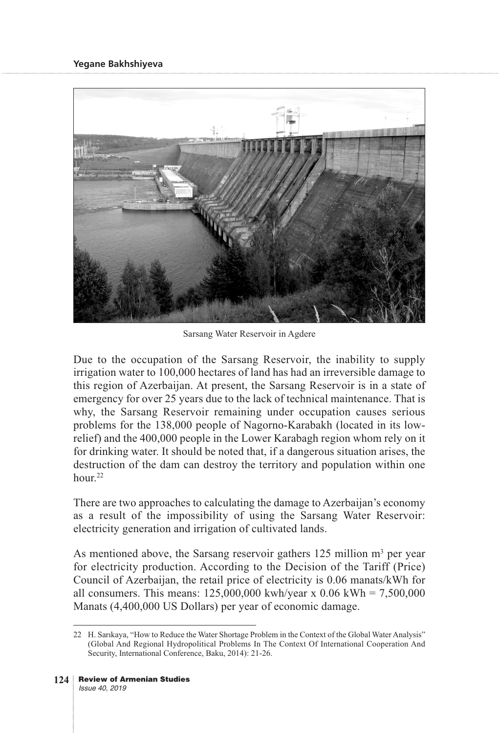

Sarsang Water Reservoir in Agdere

Due to the occupation of the Sarsang Reservoir, the inability to supply irrigation water to 100,000 hectares of land has had an irreversible damage to this region of Azerbaijan. At present, the Sarsang Reservoir is in a state of emergency for over 25 years due to the lack of technical maintenance. That is why, the Sarsang Reservoir remaining under occupation causes serious problems for the 138,000 people of Nagorno-Karabakh (located in its lowrelief) and the 400,000 people in the Lower Karabagh region whom rely on it for drinking water. It should be noted that, if a dangerous situation arises, the destruction of the dam can destroy the territory and population within one hour.<sup>22</sup>

There are two approaches to calculating the damage to Azerbaijan's economy as a result of the impossibility of using the Sarsang Water Reservoir: electricity generation and irrigation of cultivated lands.

As mentioned above, the Sarsang reservoir gathers  $125$  million m<sup>3</sup> per year for electricity production. According to the Decision of the Tariff (Price) Council of Azerbaijan, the retail price of electricity is 0.06 manats/kWh for all consumers. This means:  $125,000,000$  kwh/year x  $0.06$  kWh =  $7,500,000$ Manats (4,400,000 US Dollars) per year of economic damage.

<sup>22</sup> H. Sarıkaya, "How to Reduce the Water Shortage Problem in the Context of the Global Water Analysis" (Global And Regional Hydropolitical Problems In The Context Of International Cooperation And Security, International Conference, Baku, 2014): 21-26.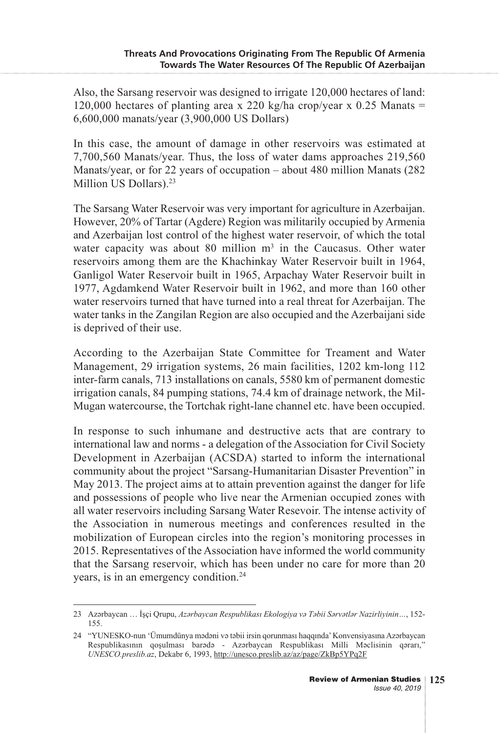Also, the Sarsang reservoir was designed to irrigate 120,000 hectares of land: 120,000 hectares of planting area x 220 kg/ha crop/year x 0.25 Manats = 6,600,000 manats/year (3,900,000 US Dollars)

In this case, the amount of damage in other reservoirs was estimated at 7,700,560 Manats/year. Thus, the loss of water dams approaches 219,560 Manats/year, or for 22 years of occupation – about 480 million Manats (282 Million US Dollars).<sup>23</sup>

The Sarsang Water Reservoir was very important for agriculture in Azerbaijan. However, 20% of Tartar (Agdere) Region was militarily occupied by Armenia and Azerbaijan lost control of the highest water reservoir, of which the total water capacity was about 80 million  $m<sup>3</sup>$  in the Caucasus. Other water reservoirs among them are the Khachinkay Water Reservoir built in 1964, Ganligol Water Reservoir built in 1965, Arpachay Water Reservoir built in 1977, Agdamkend Water Reservoir built in 1962, and more than 160 other water reservoirs turned that have turned into a real threat for Azerbaijan. The water tanks in the Zangilan Region are also occupied and the Azerbaijani side is deprived of their use.

According to the Azerbaijan State Committee for Treament and Water Management, 29 irrigation systems, 26 main facilities, 1202 km-long 112 inter-farm canals, 713 installations on canals, 5580 km of permanent domestic irrigation canals, 84 pumping stations, 74.4 km of drainage network, the Mil-Mugan watercourse, the Tortchak right-lane channel etc. have been occupied.

In response to such inhumane and destructive acts that are contrary to international law and norms - a delegation of the Association for Civil Society Development in Azerbaijan (ACSDA) started to inform the international community about the project "Sarsang-Humanitarian Disaster Prevention" in May 2013. The project aims at to attain prevention against the danger for life and possessions of people who live near the Armenian occupied zones with all water reservoirs including Sarsang Water Resevoir. The intense activity of the Association in numerous meetings and conferences resulted in the mobilization of European circles into the region's monitoring processes in 2015. Representatives of the Association have informed the world community that the Sarsang reservoir, which has been under no care for more than 20 years, is in an emergency condition.24

<sup>23</sup> Azərbaycan … İşçi Qrupu, *Azərbaycan Respublikası Ekologiya və Təbii Sərvətlər Nazirliyinin…*, 152- 155.

<sup>24 &</sup>quot;YUNESKO-nun 'Ümumdünya mədəni və təbii irsin qorunması haqqında' Konvensiyasına Azərbaycan Respublikasının qoşulması barədə - Azərbaycan Respublikası Milli Məclisinin qərarı," *UNESCO.preslib.az*, Dekabr 6, 1993, http://unesco.preslib.az/az/page/ZkBp5YPq2F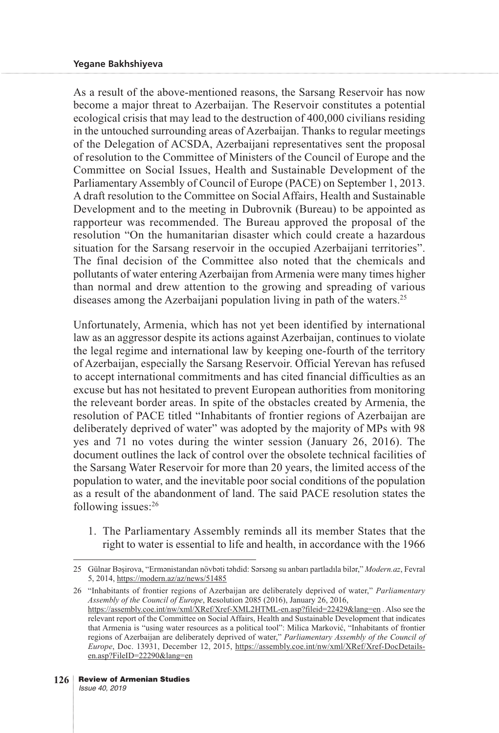As a result of the above-mentioned reasons, the Sarsang Reservoir has now become a major threat to Azerbaijan. The Reservoir constitutes a potential ecological crisis that may lead to the destruction of 400,000 civilians residing in the untouched surrounding areas of Azerbaijan. Thanks to regular meetings of the Delegation of ACSDA, Azerbaijani representatives sent the proposal of resolution to the Committee of Ministers of the Council of Europe and the Committee on Social Issues, Health and Sustainable Development of the Parliamentary Assembly of Council of Europe (PACE) on September 1, 2013. A draft resolution to the Committee on Social Affairs, Health and Sustainable Development and to the meeting in Dubrovnik (Bureau) to be appointed as rapporteur was recommended. The Bureau approved the proposal of the resolution "On the humanitarian disaster which could create a hazardous situation for the Sarsang reservoir in the occupied Azerbaijani territories". The final decision of the Committee also noted that the chemicals and pollutants of water entering Azerbaijan from Armenia were many times higher than normal and drew attention to the growing and spreading of various diseases among the Azerbaijani population living in path of the waters.<sup>25</sup>

Unfortunately, Armenia, which has not yet been identified by international law as an aggressor despite its actions against Azerbaijan, continues to violate the legal regime and international law by keeping one-fourth of the territory of Azerbaijan, especially the Sarsang Reservoir. Official Yerevan has refused to accept international commitments and has cited financial difficulties as an excuse but has not hesitated to prevent European authorities from monitoring the releveant border areas. In spite of the obstacles created by Armenia, the resolution of PACE titled "Inhabitants of frontier regions of Azerbaijan are deliberately deprived of water" was adopted by the majority of MPs with 98 yes and 71 no votes during the winter session (January 26, 2016). The document outlines the lack of control over the obsolete technical facilities of the Sarsang Water Reservoir for more than 20 years, the limited access of the population to water, and the inevitable poor social conditions of the population as a result of the abandonment of land. The said PACE resolution states the following issues:26

1. The Parliamentary Assembly reminds all its member States that the right to water is essential to life and health, in accordance with the 1966

26 "Inhabitants of frontier regions of Azerbaijan are deliberately deprived of water," *Parliamentary Assembly of the Council of Europe*, Resolution 2085 (2016), January 26, 2016, https://assembly.coe.int/nw/xml/XRef/Xref-XML2HTML-en.asp?fileid=22429&lang=en . Also see the relevant report of the Committee on Social Affairs, Health and Sustainable Development that indicates that Armenia is "using water resources as a political tool": Milica Marković, "Inhabitants of frontier regions of Azerbaijan are deliberately deprived of water," *Parliamentary Assembly of the Council of Europe*, Doc. 13931, December 12, 2015, https://assembly.coe.int/nw/xml/XRef/Xref-DocDetailsen.asp?FileID=22290&lang=en

<sup>25</sup> Gülnar Bəşirova, "Ermənistandan növbəti təhdid: Sərsəng su anbarı partladıla bilər," *Modern.az*, Fevral 5, 2014, https://modern.az/az/news/51485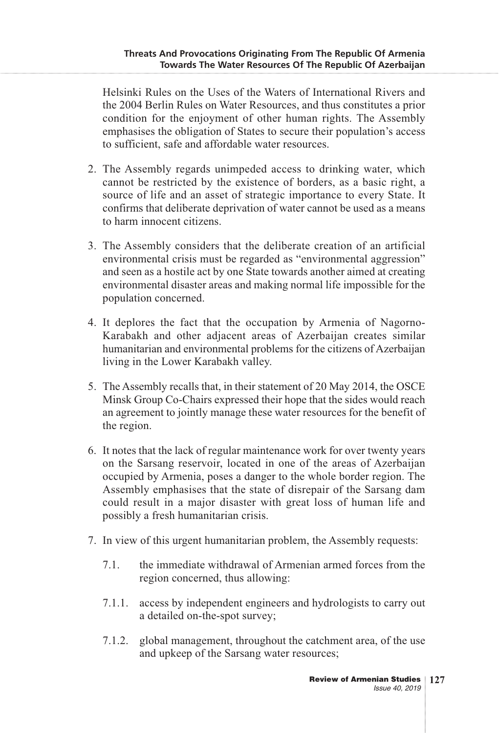Helsinki Rules on the Uses of the Waters of International Rivers and the 2004 Berlin Rules on Water Resources, and thus constitutes a prior condition for the enjoyment of other human rights. The Assembly emphasises the obligation of States to secure their population's access to sufficient, safe and affordable water resources.

- 2. The Assembly regards unimpeded access to drinking water, which cannot be restricted by the existence of borders, as a basic right, a source of life and an asset of strategic importance to every State. It confirms that deliberate deprivation of water cannot be used as a means to harm innocent citizens.
- 3. The Assembly considers that the deliberate creation of an artificial environmental crisis must be regarded as "environmental aggression" and seen as a hostile act by one State towards another aimed at creating environmental disaster areas and making normal life impossible for the population concerned.
- 4. It deplores the fact that the occupation by Armenia of Nagorno-Karabakh and other adjacent areas of Azerbaijan creates similar humanitarian and environmental problems for the citizens of Azerbaijan living in the Lower Karabakh valley.
- 5. The Assembly recalls that, in their statement of 20 May 2014, the OSCE Minsk Group Co-Chairs expressed their hope that the sides would reach an agreement to jointly manage these water resources for the benefit of the region.
- 6. It notes that the lack of regular maintenance work for over twenty years on the Sarsang reservoir, located in one of the areas of Azerbaijan occupied by Armenia, poses a danger to the whole border region. The Assembly emphasises that the state of disrepair of the Sarsang dam could result in a major disaster with great loss of human life and possibly a fresh humanitarian crisis.
- 7. In view of this urgent humanitarian problem, the Assembly requests:
	- 7.1. the immediate withdrawal of Armenian armed forces from the region concerned, thus allowing:
	- 7.1.1. access by independent engineers and hydrologists to carry out a detailed on-the-spot survey;
	- 7.1.2. global management, throughout the catchment area, of the use and upkeep of the Sarsang water resources;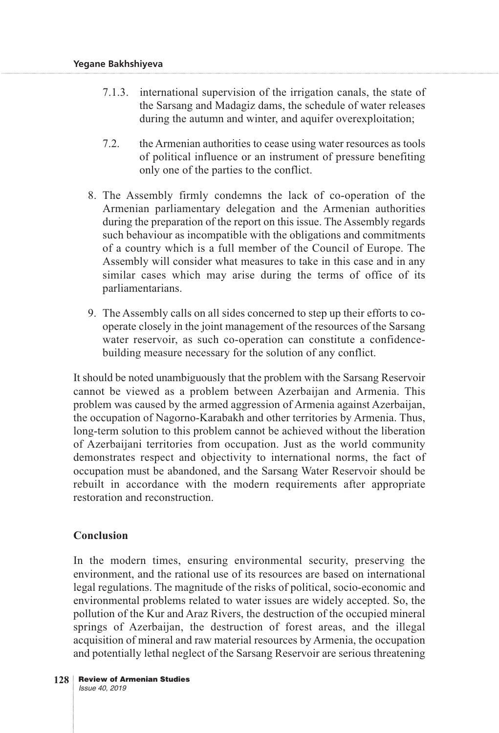- 7.1.3. international supervision of the irrigation canals, the state of the Sarsang and Madagiz dams, the schedule of water releases during the autumn and winter, and aquifer overexploitation;
- 7.2. the Armenian authorities to cease using water resources as tools of political influence or an instrument of pressure benefiting only one of the parties to the conflict.
- 8. The Assembly firmly condemns the lack of co-operation of the Armenian parliamentary delegation and the Armenian authorities during the preparation of the report on this issue. The Assembly regards such behaviour as incompatible with the obligations and commitments of a country which is a full member of the Council of Europe. The Assembly will consider what measures to take in this case and in any similar cases which may arise during the terms of office of its parliamentarians.
- 9. The Assembly calls on all sides concerned to step up their efforts to cooperate closely in the joint management of the resources of the Sarsang water reservoir, as such co-operation can constitute a confidencebuilding measure necessary for the solution of any conflict.

It should be noted unambiguously that the problem with the Sarsang Reservoir cannot be viewed as a problem between Azerbaijan and Armenia. This problem was caused by the armed aggression of Armenia against Azerbaijan, the occupation of Nagorno-Karabakh and other territories by Armenia. Thus, long-term solution to this problem cannot be achieved without the liberation of Azerbaijani territories from occupation. Just as the world community demonstrates respect and objectivity to international norms, the fact of occupation must be abandoned, and the Sarsang Water Reservoir should be rebuilt in accordance with the modern requirements after appropriate restoration and reconstruction.

### **Conclusion**

In the modern times, ensuring environmental security, preserving the environment, and the rational use of its resources are based on international legal regulations. The magnitude of the risks of political, socio-economic and environmental problems related to water issues are widely accepted. So, the pollution of the Kur and Araz Rivers, the destruction of the occupied mineral springs of Azerbaijan, the destruction of forest areas, and the illegal acquisition of mineral and raw material resources by Armenia, the occupation and potentially lethal neglect of the Sarsang Reservoir are serious threatening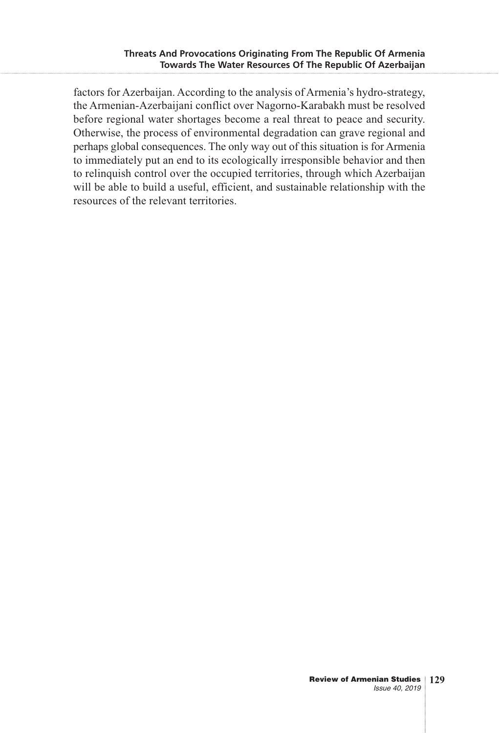factors for Azerbaijan. According to the analysis of Armenia's hydro-strategy, the Armenian-Azerbaijani conflict over Nagorno-Karabakh must be resolved before regional water shortages become a real threat to peace and security. Otherwise, the process of environmental degradation can grave regional and perhaps global consequences. The only way out of this situation is for Armenia to immediately put an end to its ecologically irresponsible behavior and then to relinquish control over the occupied territories, through which Azerbaijan will be able to build a useful, efficient, and sustainable relationship with the resources of the relevant territories.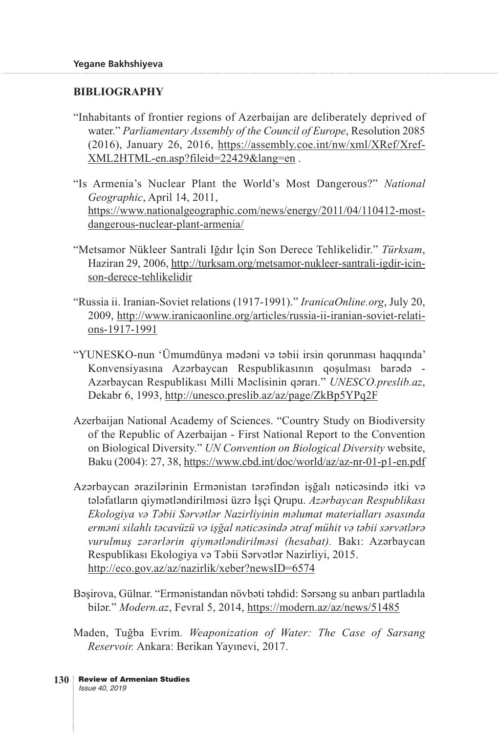### **BIBLIOGRAPHY**

- "Inhabitants of frontier regions of Azerbaijan are deliberately deprived of water." *Parliamentary Assembly of the Council of Europe*, Resolution 2085 (2016), January 26, 2016, https://assembly.coe.int/nw/xml/XRef/Xref-XML2HTML-en.asp?fileid=22429&lang=en .
- "Is Armenia's Nuclear Plant the World's Most Dangerous?" *National Geographic*, April 14, 2011, https://www.nationalgeographic.com/news/energy/2011/04/110412-mostdangerous-nuclear-plant-armenia/
- "Metsamor Nükleer Santrali Iğdır İçin Son Derece Tehlikelidir." *Türksam*, Haziran 29, 2006, http://turksam.org/metsamor-nukleer-santrali-igdir-icinson-derece-tehlikelidir
- "Russia ii. Iranian-Soviet relations (1917-1991)." *IranicaOnline.org*, July 20, 2009, http://www.iranicaonline.org/articles/russia-ii-iranian-soviet-relations-1917-1991
- "YUNESKO-nun 'Ümumdünya mədəni və təbii irsin qorunması haqqında' Konvensiyasına Azərbaycan Respublikasının qoşulması barədə - Azərbaycan Respublikası Milli Məclisinin qərarı." *UNESCO.preslib.az*, Dekabr 6, 1993, http://unesco.preslib.az/az/page/ZkBp5YPq2F
- Azerbaijan National Academy of Sciences. "Country Study on Biodiversity of the Republic of Azerbaijan - First National Report to the Convention on Biological Diversity." *UN Convention on Biological Diversity* website, Baku (2004): 27, 38, https://www.cbd.int/doc/world/az/az-nr-01-p1-en.pdf
- Azərbaycan ərazilərinin Ermənistan tərəfindən işğalı nəticəsində itki və tələfatların qiymətləndirilməsi üzrə İşçi Qrupu. *Azərbaycan Respublikası Ekologiya və Təbii Sərvətlər Nazirliyinin məlumat materialları əsasında erməni silahlı təcavüzü və işğal nəticəsində ətraf mühit və təbii sərvətlərə vurulmuş zərərlərin qiymətləndirilməsi (hesabat).* Bakı: Azərbaycan Respublikası Ekologiya və Təbii Sərvətlər Nazirliyi, 2015. http://eco.gov.az/az/nazirlik/xeber?newsID=6574
- Bəşirova, Gülnar. "Ermənistandan növbəti təhdid: Sərsəng su anbarı partladıla bilər." *Modern.az*, Fevral 5, 2014, https://modern.az/az/news/51485
- Maden, Tuğba Evrim. *Weaponization of Water: The Case of Sarsang Reservoir.* Ankara: Berikan Yayınevi, 2017.
- Review of Armenian Studies **130**Issue 40, 2019